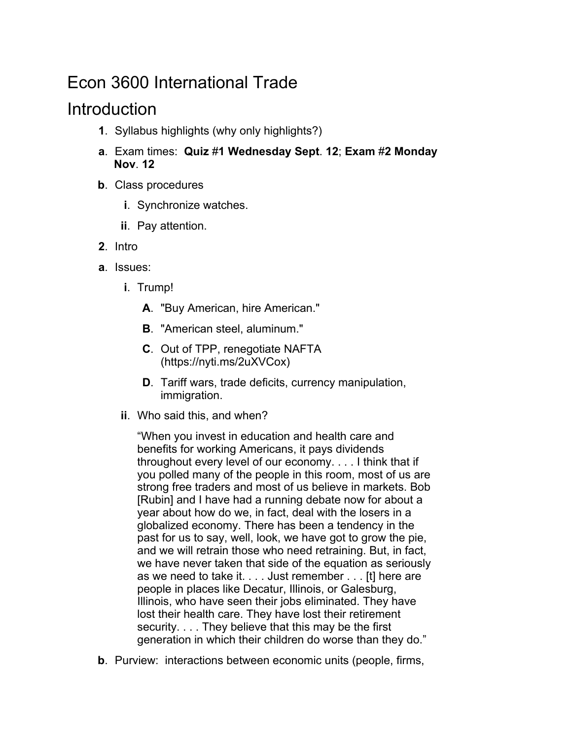# Econ 3600 International Trade

## Introduction

- **1**. Syllabus highlights (why only highlights?)
- **a**. Exam times: **Quiz** #**1 Wednesday Sept**. **12**; **Exam** #**2 Monday Nov**. **12**
- **b**. Class procedures
	- **i**. Synchronize watches.
	- **ii**. Pay attention.
- **2**. Intro
- **a**. Issues:
	- **i**. Trump!
		- **A**. "Buy American, hire American."
		- **B**. "American steel, aluminum."
		- **C**. Out of TPP, renegotiate NAFTA (https://nyti.ms/2uXVCox)
		- **D**. Tariff wars, trade deficits, currency manipulation, immigration.
	- **ii**. Who said this, and when?

"When you invest in education and health care and benefits for working Americans, it pays dividends throughout every level of our economy. . . . I think that if you polled many of the people in this room, most of us are strong free traders and most of us believe in markets. Bob [Rubin] and I have had a running debate now for about a year about how do we, in fact, deal with the losers in a globalized economy. There has been a tendency in the past for us to say, well, look, we have got to grow the pie, and we will retrain those who need retraining. But, in fact, we have never taken that side of the equation as seriously as we need to take it. . . . Just remember . . . [t] here are people in places like Decatur, Illinois, or Galesburg, Illinois, who have seen their jobs eliminated. They have lost their health care. They have lost their retirement security. . . . They believe that this may be the first generation in which their children do worse than they do."

**b**. Purview: interactions between economic units (people, firms,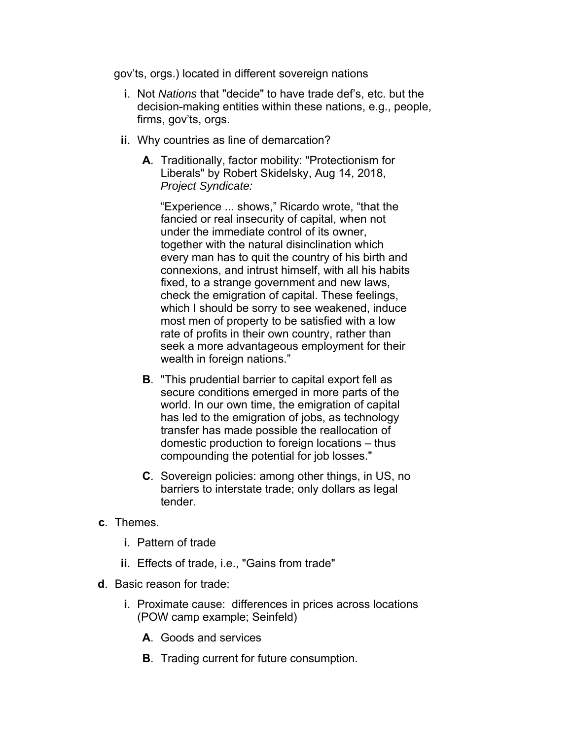gov'ts, orgs.) located in different sovereign nations

- **i**. Not *Nations* that "decide" to have trade def's, etc. but the decision-making entities within these nations, e.g., people, firms, gov'ts, orgs.
- **ii**. Why countries as line of demarcation?
	- **A**. Traditionally, factor mobility: "Protectionism for Liberals" by Robert Skidelsky, Aug 14, 2018, *Project Syndicate:*

"Experience ... shows," Ricardo wrote, "that the fancied or real insecurity of capital, when not under the immediate control of its owner, together with the natural disinclination which every man has to quit the country of his birth and connexions, and intrust himself, with all his habits fixed, to a strange government and new laws, check the emigration of capital. These feelings, which I should be sorry to see weakened, induce most men of property to be satisfied with a low rate of profits in their own country, rather than seek a more advantageous employment for their wealth in foreign nations."

- **B**. "This prudential barrier to capital export fell as secure conditions emerged in more parts of the world. In our own time, the emigration of capital has led to the emigration of jobs, as technology transfer has made possible the reallocation of domestic production to foreign locations – thus compounding the potential for job losses."
- **C**. Sovereign policies: among other things, in US, no barriers to interstate trade; only dollars as legal tender.
- **c**. Themes.
	- **i**. Pattern of trade
	- **ii**. Effects of trade, i.e., "Gains from trade"
- **d**. Basic reason for trade:
	- **i**. Proximate cause: differences in prices across locations (POW camp example; Seinfeld)
		- **A**. Goods and services
		- **B**. Trading current for future consumption.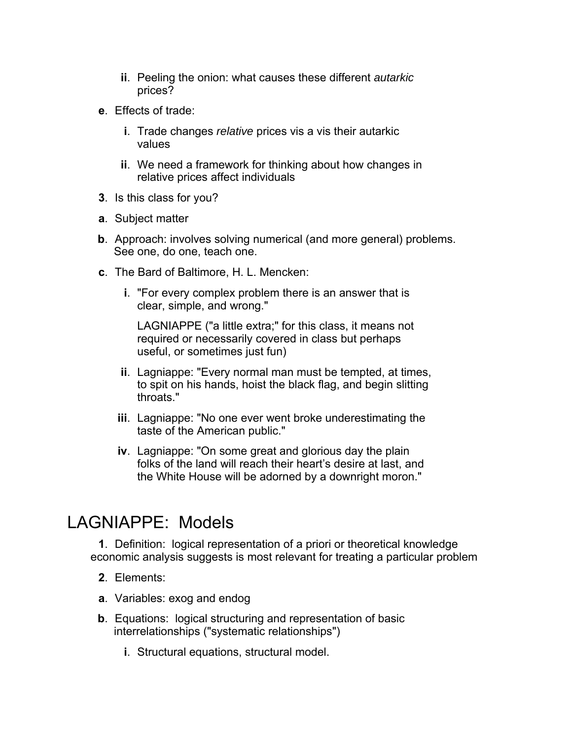- **ii**. Peeling the onion: what causes these different *autarkic* prices?
- **e**. Effects of trade:
	- **i**. Trade changes *relative* prices vis a vis their autarkic values
	- **ii**. We need a framework for thinking about how changes in relative prices affect individuals
- **3**. Is this class for you?
- **a**. Subject matter
- **b**. Approach: involves solving numerical (and more general) problems. See one, do one, teach one.
- **c**. The Bard of Baltimore, H. L. Mencken:
	- **i**. "For every complex problem there is an answer that is clear, simple, and wrong."

LAGNIAPPE ("a little extra;" for this class, it means not required or necessarily covered in class but perhaps useful, or sometimes just fun)

- **ii**. Lagniappe: "Every normal man must be tempted, at times, to spit on his hands, hoist the black flag, and begin slitting throats."
- **iii**. Lagniappe: "No one ever went broke underestimating the taste of the American public."
- **iv**. Lagniappe: "On some great and glorious day the plain folks of the land will reach their heart's desire at last, and the White House will be adorned by a downright moron."

## LAGNIAPPE: Models

**1**. Definition: logical representation of a priori or theoretical knowledge economic analysis suggests is most relevant for treating a particular problem

- **2**. Elements:
- **a**. Variables: exog and endog
- **b**. Equations: logical structuring and representation of basic interrelationships ("systematic relationships")
	- **i**. Structural equations, structural model.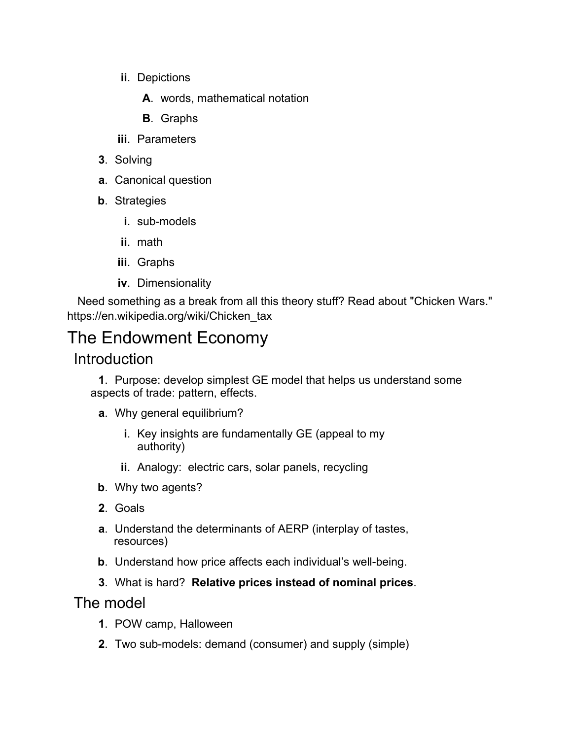- **ii**. Depictions
	- **A**. words, mathematical notation
	- **B**. Graphs
- **iii**. Parameters
- **3**. Solving
- **a**. Canonical question
- **b**. Strategies
	- **i**. sub-models
	- **ii**. math
	- **iii**. Graphs
	- **iv**. Dimensionality

Need something as a break from all this theory stuff? Read about "Chicken Wars." https://en.wikipedia.org/wiki/Chicken\_tax

# The Endowment Economy

### **Introduction**

**1**. Purpose: develop simplest GE model that helps us understand some aspects of trade: pattern, effects.

- **a**. Why general equilibrium?
	- **i**. Key insights are fundamentally GE (appeal to my authority)
	- **ii**. Analogy: electric cars, solar panels, recycling
- **b**. Why two agents?
- **2**. Goals
- **a**. Understand the determinants of AERP (interplay of tastes, resources)
- **b**. Understand how price affects each individual's well-being.
- **3**. What is hard? **Relative prices instead of nominal prices**.

### The model

- **1**. POW camp, Halloween
- **2**. Two sub-models: demand (consumer) and supply (simple)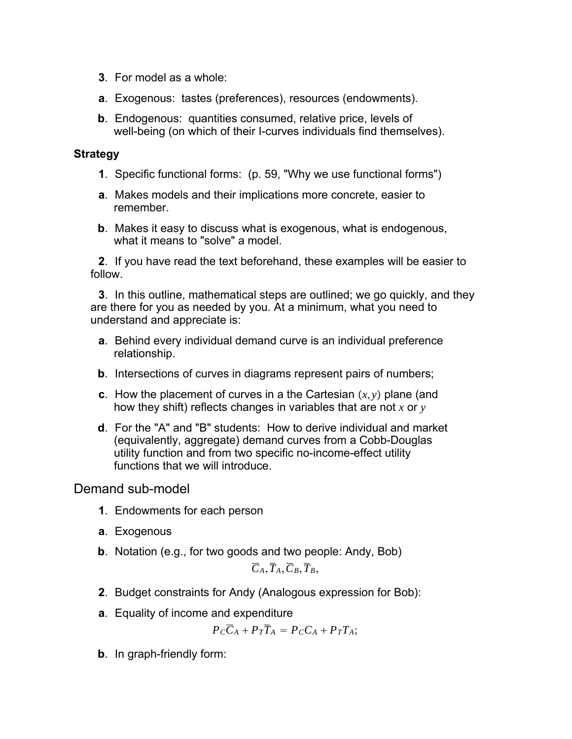- **3**. For model as a whole:
- **a**. Exogenous: tastes (preferences), resources (endowments).
- **b**. Endogenous: quantities consumed, relative price, levels of well-being (on which of their I-curves individuals find themselves).

#### **Strategy**

- **1**. Specific functional forms: (p. 59, "Why we use functional forms")
- **a**. Makes models and their implications more concrete, easier to remember.
- **b**. Makes it easy to discuss what is exogenous, what is endogenous, what it means to "solve" a model.

**2**. If you have read the text beforehand, these examples will be easier to follow.

**3**. In this outline, mathematical steps are outlined; we go quickly, and they are there for you as needed by you. At a minimum, what you need to understand and appreciate is:

- **a**. Behind every individual demand curve is an individual preference relationship.
- **b**. Intersections of curves in diagrams represent pairs of numbers;
- **c**. How the placement of curves in a the Cartesian  $(x, y)$  plane (and how they shift) reflects changes in variables that are not *x* or *y*
- **d**. For the "A" and "B" students: How to derive individual and market (equivalently, aggregate) demand curves from a Cobb-Douglas utility function and from two specific no-income-effect utility functions that we will introduce.

#### Demand sub-model

- **1**. Endowments for each person
- **a**. Exogenous
- **b**. Notation (e.g., for two goods and two people: Andy, Bob)

 $\overline{C}_A$ ,  $\overline{T}_A$ ,  $\overline{C}_B$ ,  $\overline{T}_B$ ,

- **2**. Budget constraints for Andy (Analogous expression for Bob):
- **a**. Equality of income and expenditure

$$
P_C \overline{C}_A + P_T \overline{T}_A = P_C C_A + P_T T_A;
$$

**b**. In graph-friendly form: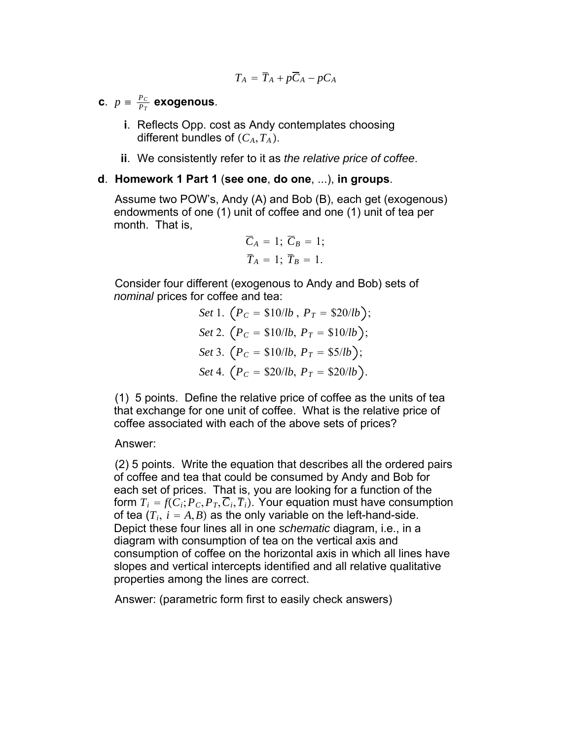$$
T_A = \overline{T}_A + p\overline{C}_A - pC_A
$$

**c**.  $p = \frac{P_C}{P_T}$  exogenous.

- **i**. Reflects Opp. cost as Andy contemplates choosing different bundles of  $(C_A, T_A)$ .
- **ii**. We consistently refer to it as *the relative price of coffee*.

#### **d**. **Homework 1 Part 1** (**see one**, **do one**, ...), **in groups**.

Assume two POW's, Andy (A) and Bob (B), each get (exogenous) endowments of one (1) unit of coffee and one (1) unit of tea per month. That is,

$$
\overline{C}_A = 1; \overline{C}_B = 1; \overline{T}_A = 1; \overline{T}_B = 1.
$$

Consider four different (exogenous to Andy and Bob) sets of *nominal* prices for coffee and tea:

> *Set* 1.  $(P_C = \frac{\$10}{lb}, P_T = \frac{\$20}{lb};$ *Set* 2.  $(P_C = $10/lb, P_T = $10/lb);$ *Set* 3.  $(P_C = $10/lb, P_T = $5/lb$  ; *Set* 4.  $(P_C = $20/lb, P_T = $20/lb)$ .

(1) 5 points. Define the relative price of coffee as the units of tea that exchange for one unit of coffee. What is the relative price of coffee associated with each of the above sets of prices?

#### Answer:

(2) 5 points. Write the equation that describes all the ordered pairs of coffee and tea that could be consumed by Andy and Bob for each set of prices. That is, you are looking for a function of the form  $T_i = f(C_i; P_C, P_T, \overline{C}_i, \overline{T}_i)$ . Your equation must have consumption of tea  $(T_i, i = A, B)$  as the only variable on the left-hand-side. Depict these four lines all in one *schematic* diagram, i.e., in a diagram with consumption of tea on the vertical axis and consumption of coffee on the horizontal axis in which all lines have slopes and vertical intercepts identified and all relative qualitative properties among the lines are correct.

Answer: (parametric form first to easily check answers)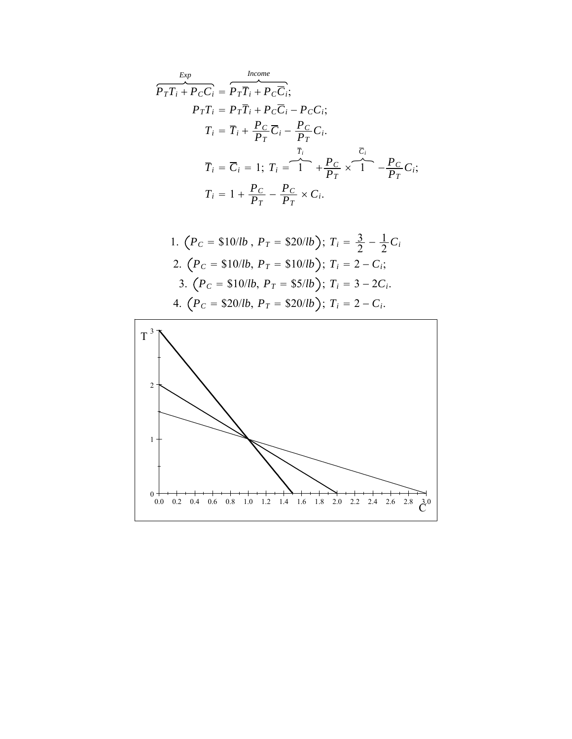$$
\overbrace{P_T T_i + P_C C_i}^{Exp} = \overbrace{P_T \overline{T}_i + P_C \overline{C}_i}^{Income};
$$
\n
$$
P_T T_i = P_T \overline{T}_i + P_C \overline{C}_i - P_C C_i;
$$
\n
$$
T_i = \overline{T}_i + \frac{P_C}{P_T} \overline{C}_i - \frac{P_C}{P_T} C_i.
$$
\n
$$
\overline{T}_i = \overline{C}_i = 1; T_i = \overbrace{1}^{T_i} + \frac{P_C}{P_T} \times \overbrace{1}^{T_i} - \frac{P_C}{P_T} C_i;
$$
\n
$$
T_i = 1 + \frac{P_C}{P_T} - \frac{P_C}{P_T} \times C_i.
$$

1. 
$$
(P_C = $10/lb, P_T = $20/lb); T_i = \frac{3}{2} - \frac{1}{2}C_i
$$
  
\n2.  $(P_C = $10/lb, P_T = $10/lb); T_i = 2 - C_i;$   
\n3.  $(P_C = $10/lb, P_T = $5/lb); T_i = 3 - 2C_i.$   
\n4.  $(P_C = $20/lb, P_T = $20/lb); T_i = 2 - C_i.$ 

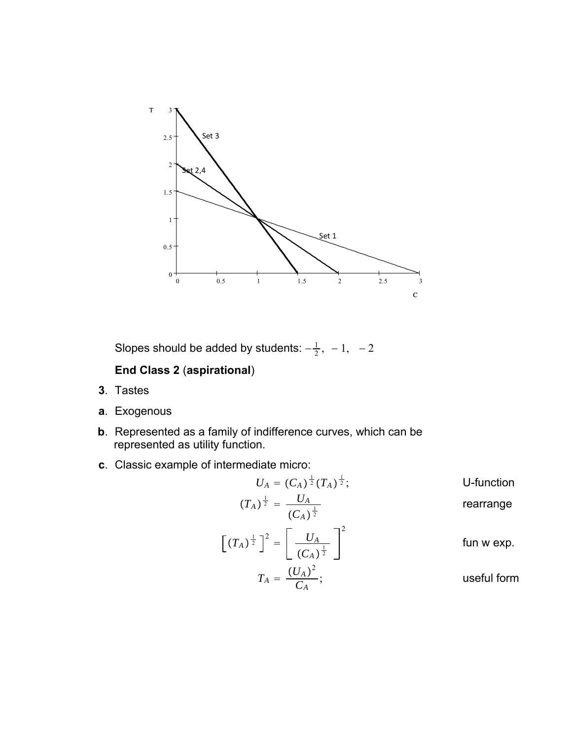

Slopes should be added by students:  $-\frac{1}{2}$ ,  $-1$ ,  $-2$ 

### **End Class 2** (**aspirational**)

- **3**. Tastes
- **a**. Exogenous
- **b**. Represented as a family of indifference curves, which can be represented as utility function.
- **c**. Classic example of intermediate micro:

$$
U_A = (C_A)^{\frac{1}{2}} (T_A)^{\frac{1}{2}};
$$
 U-function  
\n
$$
(T_A)^{\frac{1}{2}} = \frac{U_A}{(C_A)^{\frac{1}{2}}}
$$
 rearrange  
\n
$$
\left[ (T_A)^{\frac{1}{2}} \right]^2 = \left[ \frac{U_A}{(C_A)^{\frac{1}{2}}} \right]^2
$$
 fun we  
\n
$$
T_A = \frac{(U_A)^2}{C_A};
$$
 useful form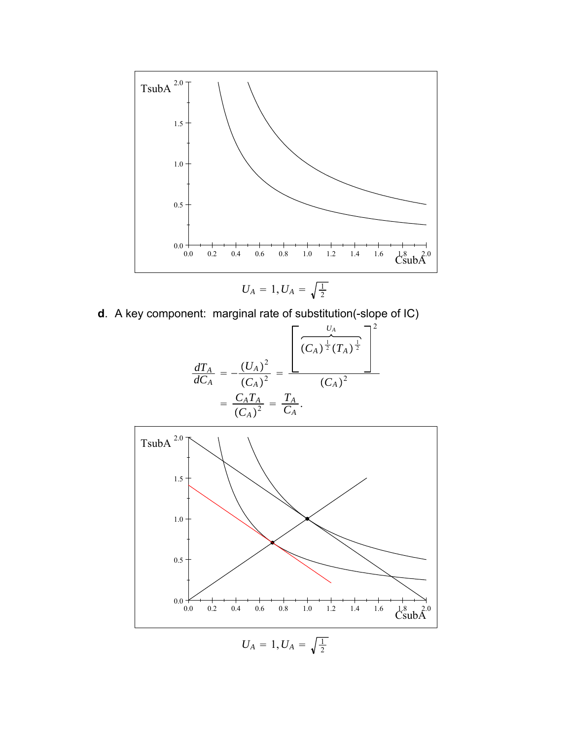

$$
\bullet
$$

**d**. A key component: marginal rate of substitution(-slope of IC)

$$
\frac{dT_A}{dC_A} = -\frac{(U_A)^2}{(C_A)^2} = \frac{\left[\frac{U_A}{(C_A)^{\frac{1}{2}}(T_A)^{\frac{1}{2}}}\right]^2}{(C_A)^2} = \frac{C_A T_A}{(C_A)^2} = \frac{T_A}{C_A}.
$$

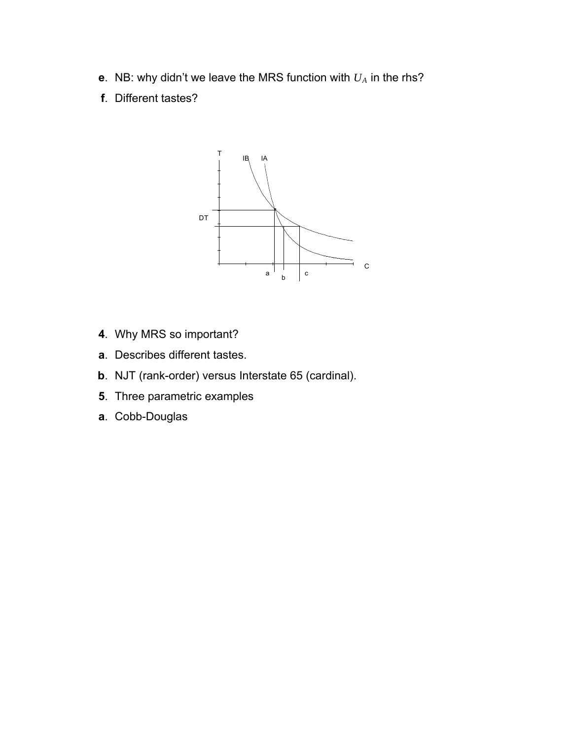- **e**. NB: why didn't we leave the MRS function with *UA* in the rhs?
- **f**. Different tastes?



- **4**. Why MRS so important?
- **a**. Describes different tastes.
- **b**. NJT (rank-order) versus Interstate 65 (cardinal).
- **5**. Three parametric examples
- **a**. Cobb-Douglas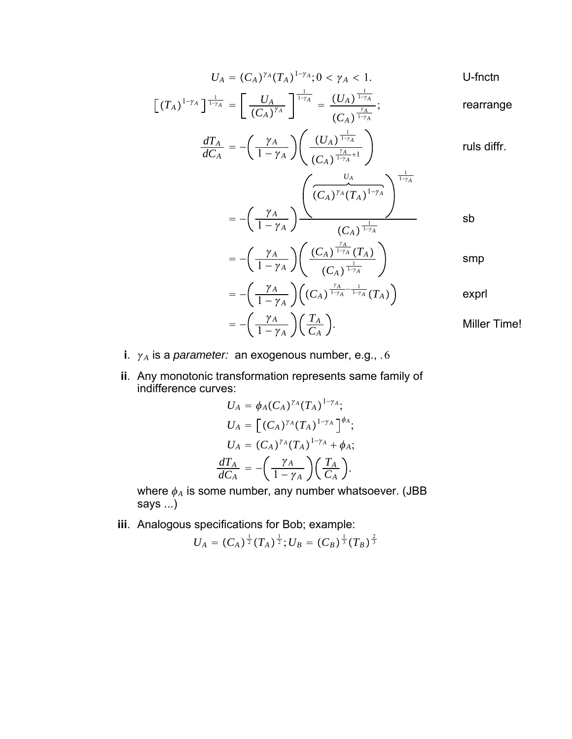$$
U_A = (C_A)^{\gamma_A} (T_A)^{1-\gamma_A}; 0 < \gamma_A < 1.
$$
 U-fnctn

$$
\left[\left(T_A\right)^{1-\gamma_A}\right]_{\frac{1}{1-\gamma_A}} = \left[\frac{U_A}{\left(C_A\right)^{\gamma_A}}\right]_{\frac{1-\gamma_A}{1-\gamma_A}} = \frac{\left(U_A\right)^{\frac{1}{1-\gamma_A}}}{\left(C_A\right)^{\frac{\gamma_A}{1-\gamma_A}}};
$$
 rearrange

$$
\frac{dT_A}{dC_A} = -\left(\frac{\gamma_A}{1-\gamma_A}\right) \left(\frac{(U_A)^{\frac{1}{1-\gamma_A}}}{(C_A)^{\frac{\gamma_A}{1-\gamma_A}+1}}\right)
$$
 rules diffr.

$$
= -\left(\frac{\gamma_A}{1-\gamma_A}\right)^{\left(\frac{\gamma_A}{(C_A)^{\gamma_A}(T_A)^{1-\gamma_A}}\right)^{1-\gamma_A}}
$$
sb

$$
=-\left(\frac{\gamma_A}{1-\gamma_A}\right)\left(\frac{(C_A)^{\frac{\gamma_A}{1-\gamma_A}}(T_A)}{(C_A)^{\frac{1}{1-\gamma_A}}}\right) \qquad \qquad \text{smp}
$$

$$
= -\left(\frac{\gamma_A}{1-\gamma_A}\right) \left((C_A)^{\frac{\gamma_A}{1-\gamma_A}-\frac{1}{1-\gamma_A}}(T_A)\right)
$$
exprl

$$
= -\left(\frac{\gamma_A}{1-\gamma_A}\right)\left(\frac{T_A}{C_A}\right).
$$
 Miller Time!

- **i**.  $\gamma_A$  is a *parameter:* an exogenous number, e.g., .6
- **ii**. Any monotonic transformation represents same family of indifference curves:

$$
U_A = \phi_A(C_A)^{\gamma_A}(T_A)^{1-\gamma_A};
$$
  
\n
$$
U_A = \left[ (C_A)^{\gamma_A}(T_A)^{1-\gamma_A} \right]^{\phi_A};
$$
  
\n
$$
U_A = (C_A)^{\gamma_A}(T_A)^{1-\gamma_A} + \phi_A;
$$
  
\n
$$
\frac{dT_A}{dC_A} = -\left(\frac{\gamma_A}{1-\gamma_A}\right)\left(\frac{T_A}{C_A}\right).
$$

where  $\phi_A$  is some number, any number whatsoever. (JBB says ...)

**iii**. Analogous specifications for Bob; example:

$$
U_A = (C_A)^{\frac{1}{2}} (T_A)^{\frac{1}{2}}; U_B = (C_B)^{\frac{1}{3}} (T_B)^{\frac{2}{3}}
$$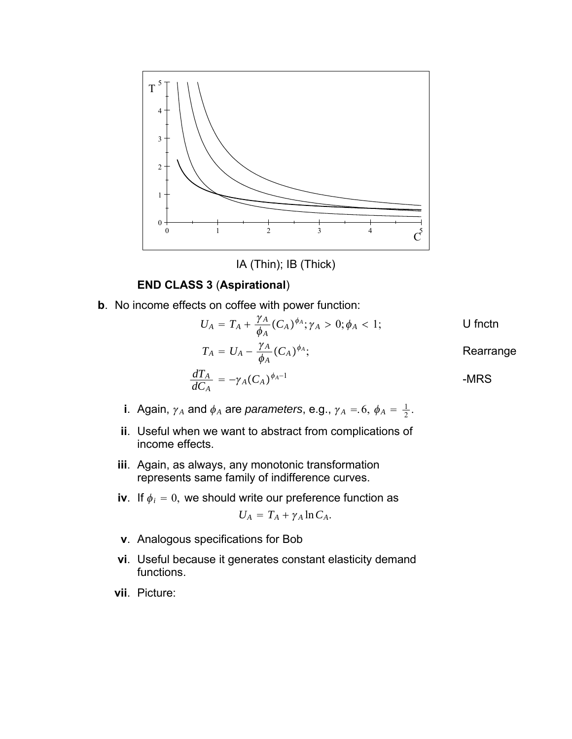

IA (Thin); IB (Thick)

#### **END CLASS 3** (**Aspirational**)

**b**. No income effects on coffee with power function:

$$
U_A = T_A + \frac{\gamma_A}{\phi_A} (C_A)^{\phi_A}; \gamma_A > 0; \phi_A < 1;
$$

$$
T_A = U_A - \frac{\gamma_A}{\phi_A} (C_A)^{\phi_A};
$$
 Rearrange

$$
\frac{dT_A}{dC_A} = -\gamma_A (C_A)^{\phi_A - 1}
$$
 -MRS

- **i**. Again,  $\gamma_A$  and  $\phi_A$  are *parameters*, e.g.,  $\gamma_A = 6$ ,  $\phi_A = \frac{1}{2}$ .
- **ii**. Useful when we want to abstract from complications of income effects.
- **iii**. Again, as always, any monotonic transformation represents same family of indifference curves.
- **iv**. If  $\phi_i = 0$ , we should write our preference function as

$$
U_A = T_A + \gamma_A \ln C_A.
$$

- **v**. Analogous specifications for Bob
- **vi**. Useful because it generates constant elasticity demand functions.
- **vii**. Picture: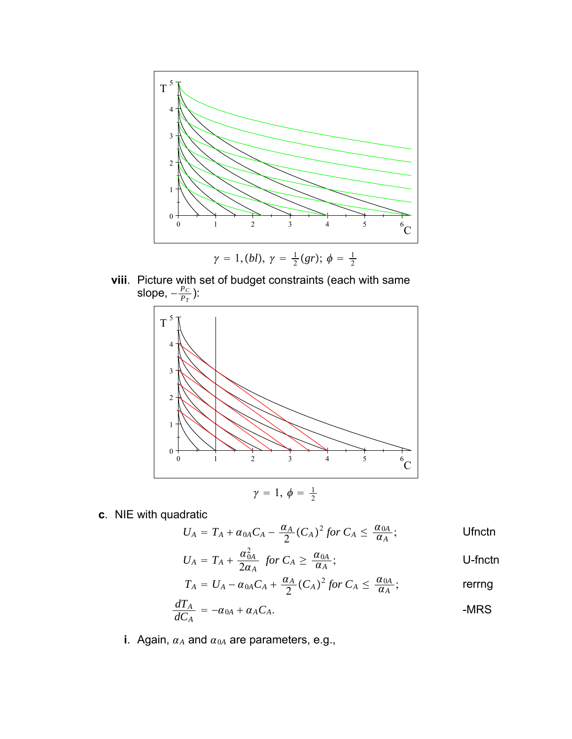

**viii**. Picture with set of budget constraints (each with same slope,  $-\frac{P_C}{P_T}$ ):



**c**. NIE with quadratic

*UA TA* 0*ACA* <sup>−</sup> *<sup>A</sup>* <sup>2</sup> *CA* <sup>2</sup> *for CA* <sup>≤</sup> 0*<sup>A</sup> <sup>A</sup>* ; Ufnctn

$$
U_A = T_A + \frac{\alpha_{0A}^2}{2\alpha_A} \text{ for } C_A \ge \frac{\alpha_{0A}}{\alpha_A};
$$
 U-fnctn

$$
T_A = U_A - \alpha_{0A}C_A + \frac{\alpha_A}{2}(C_A)^2 \text{ for } C_A \leq \frac{\alpha_{0A}}{\alpha_A};
$$

$$
\frac{dT_A}{dC_A} = -\alpha_{0A} + \alpha_A C_A.
$$
 -MRS

**i**. Again,  $\alpha_A$  and  $\alpha_{0A}$  are parameters, e.g.,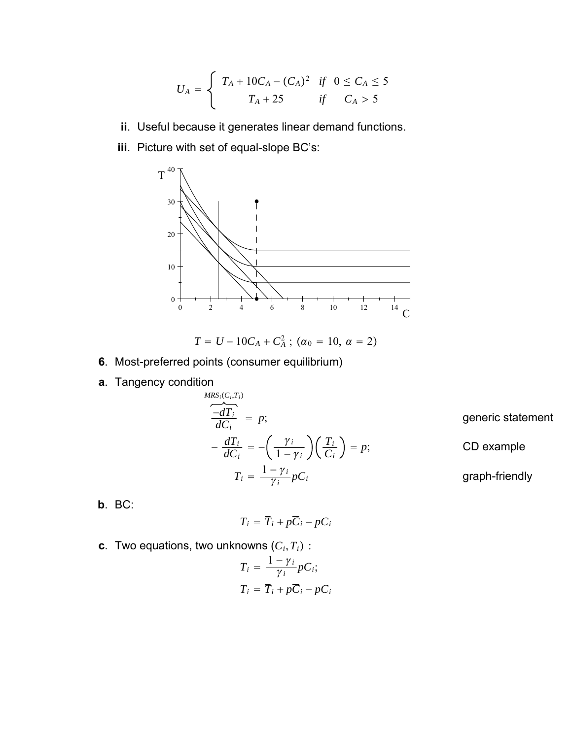$$
U_A = \begin{cases} T_A + 10C_A - (C_A)^2 & \text{if } 0 \le C_A \le 5 \\ T_A + 25 & \text{if } C_A > 5 \end{cases}
$$

- **ii**. Useful because it generates linear demand functions.
- **iii**. Picture with set of equal-slope BC's:



$$
T = U - 10C_A + C_A^2 ; (\alpha_0 = 10, \alpha = 2)
$$

- **6**. Most-preferred points (consumer equilibrium)
- **a**. Tangency condition

$$
\frac{MRS_i(C_i, T_i)}{dC_i} = p;
$$
\n
$$
-\frac{dT_i}{dC_i} = -\left(\frac{\gamma_i}{1 - \gamma_i}\right)\left(\frac{T_i}{C_i}\right) = p;
$$
\n
$$
T_i = \frac{1 - \gamma_i}{\gamma_i}pC_i
$$
\ngraph-friendly

**b**. BC:

 $T_i = \overline{T_i} + p\overline{C_i} - pC_i$ 

**c**. Two equations, two unknowns  $(C_i, T_i)$ :

$$
T_i = \frac{1 - \gamma_i}{\gamma_i} pC_i;
$$
  

$$
T_i = \overline{T}_i + p\overline{C}_i - pC_i
$$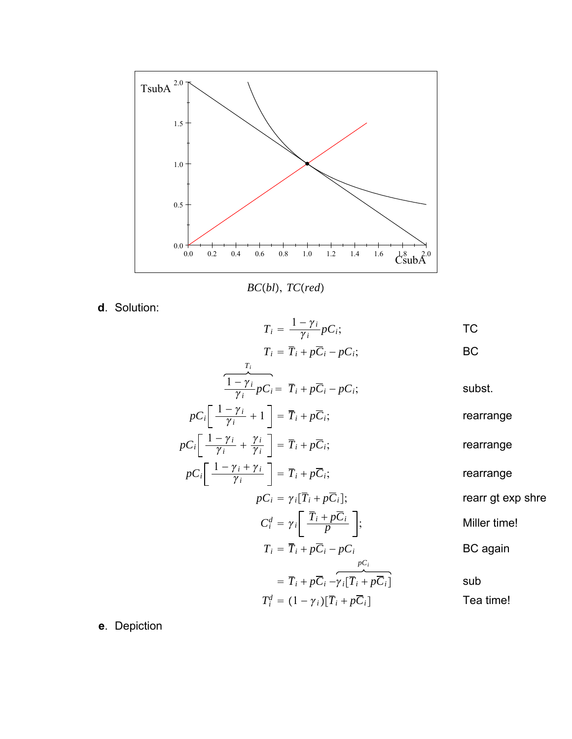

*BCbl*, *TCred*

**d**. Solution:

$$
T_i = \frac{1 - \gamma_i}{\gamma_i} p_i;
$$
 TC

$$
T_i = \overline{T}_i + p\overline{C}_i - pC_i;
$$
 BC

$$
\frac{T_i}{\frac{1-\gamma_i}{\gamma_i}pC_i} = \overline{T}_i + p\overline{C}_i - pC_i;
$$

$$
pC_i \left[ \frac{1 - \gamma_i}{\gamma_i} + 1 \right] = \overline{T}_i + p\overline{C}_i;
$$
 rearrange

$$
pC_i \left[ \frac{1 - \gamma_i}{\gamma_i} + \frac{\gamma_i}{\gamma_i} \right] = \overline{T}_i + p\overline{C}_i;
$$
 rearrange

$$
pC_i \left[ \frac{1 - \gamma_i + \gamma_i}{\gamma_i} \right] = \overline{T}_i + p\overline{C}_i;
$$
 rearrange

$$
pC_i = \gamma_i [\overline{T}_i + p\overline{C}_i];
$$
\nrearr gt exp shre

\n
$$
C_i^d = \gamma_i \left[ \frac{\overline{T}_i + p\overline{C}_i}{p} \right];
$$
\nMiller time!

$$
T_i = \overline{T}_i + p\overline{C}_i - pC_i
$$
 BC again

$$
= \overline{T}_i + p\overline{C}_i - \gamma_i[\overline{T}_i + p\overline{C}_i]
$$
sub  

$$
T_i^d = (1 - \gamma_i)[\overline{T}_i + p\overline{C}_i]
$$
real time!

**e**. Depiction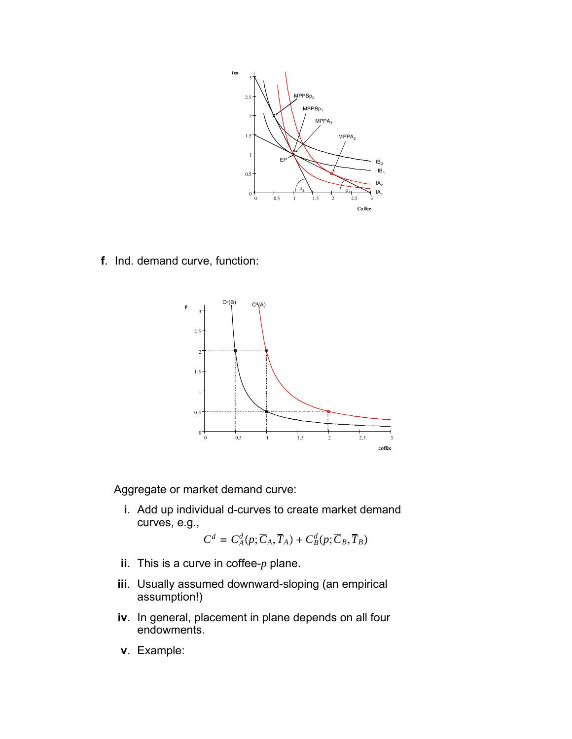

**f**. Ind. demand curve, function:



Aggregate or market demand curve:

**i**. Add up individual d-curves to create market demand curves, e.g.,

$$
C^d = C^d_A(p; \overline{C}_A, \overline{T}_A) + C^d_B(p; \overline{C}_B, \overline{T}_B)
$$

- **ii**. This is a curve in coffee-*p* plane.
- **iii**. Usually assumed downward-sloping (an empirical assumption!)
- **iv**. In general, placement in plane depends on all four endowments.
- **v**. Example: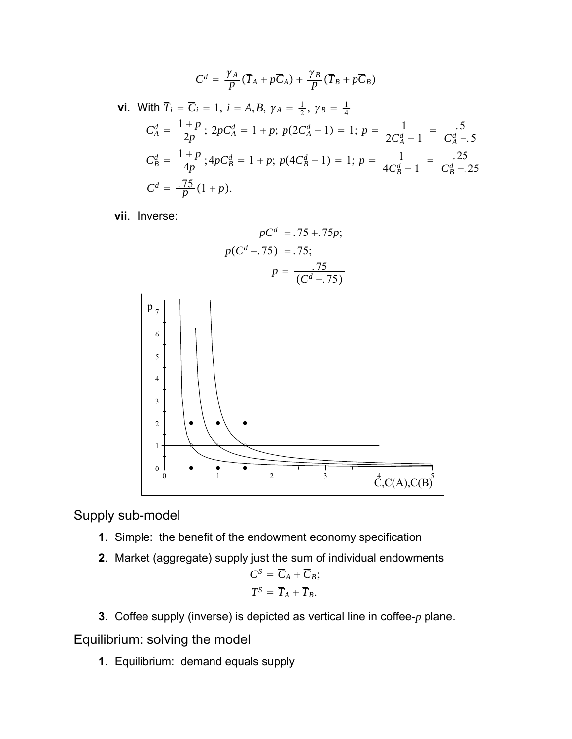$$
C^d = \frac{\gamma_A}{p}(\overline{T}_A + p\overline{C}_A) + \frac{\gamma_B}{p}(\overline{T}_B + p\overline{C}_B)
$$

**vi.** With 
$$
\overline{T}_i = \overline{C}_i = 1
$$
,  $i = A, B, \gamma_A = \frac{1}{2}, \gamma_B = \frac{1}{4}$   
\n
$$
C_A^d = \frac{1+p}{2p}; 2pC_A^d = 1+p; p(2C_A^d - 1) = 1; p = \frac{1}{2C_A^d - 1} = \frac{5}{C_A^d - 5}
$$
\n
$$
C_B^d = \frac{1+p}{4p}; 4pC_B^d = 1+p; p(4C_B^d - 1) = 1; p = \frac{1}{4C_B^d - 1} = \frac{25}{C_B^d - 25}
$$
\n
$$
C^d = \frac{75}{p}(1+p).
$$

**vii**. Inverse:

$$
pCd = .75 + .75p;
$$

$$
p(Cd - .75) = .75;
$$

$$
p = \frac{.75}{(Cd - .75)}
$$



Supply sub-model

- **1**. Simple: the benefit of the endowment economy specification
- **2**. Market (aggregate) supply just the sum of individual endowments

$$
C^{S} = \overline{C}_{A} + \overline{C}_{B};
$$
  

$$
T^{S} = \overline{T}_{A} + \overline{T}_{B}.
$$

**3**. Coffee supply (inverse) is depicted as vertical line in coffee-*p* plane.

Equilibrium: solving the model

**1**. Equilibrium: demand equals supply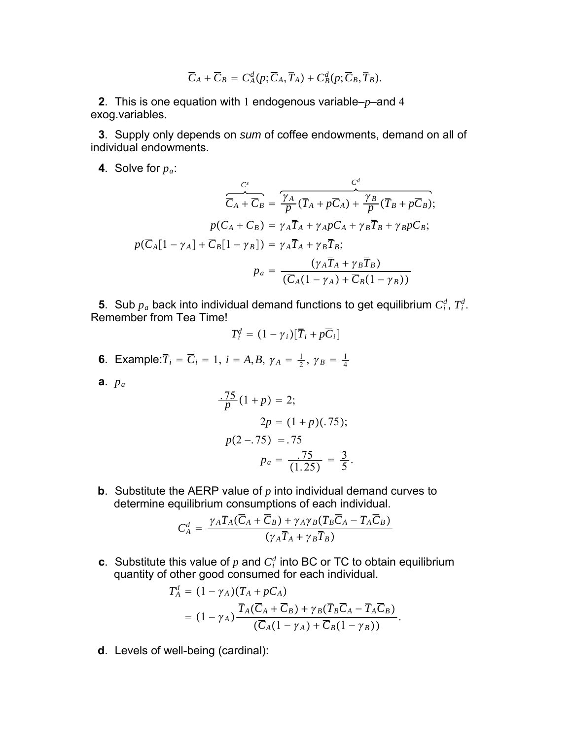$$
\overline{C}_A+\overline{C}_B=C^d_A(p;\overline{C}_A,\overline{T}_A)+C^d_B(p;\overline{C}_B,\overline{T}_B).
$$

**2**. This is one equation with 1 endogenous variable–*p*–and 4 exog.variables.

**3**. Supply only depends on *sum* of coffee endowments, demand on all of individual endowments.

**4**. Solve for *pa*:

$$
\frac{C^s}{\overline{C}_A + \overline{C}_B} = \frac{\overline{\gamma_A}}{p} (\overline{T}_A + p\overline{C}_A) + \frac{\gamma_B}{p} (\overline{T}_B + p\overline{C}_B);
$$
\n
$$
p(\overline{C}_A + \overline{C}_B) = \gamma_A \overline{T}_A + \gamma_A p\overline{C}_A + \gamma_B \overline{T}_B + \gamma_B p\overline{C}_B;
$$
\n
$$
p(\overline{C}_A[1 - \gamma_A] + \overline{C}_B[1 - \gamma_B]) = \gamma_A \overline{T}_A + \gamma_B \overline{T}_B;
$$
\n
$$
p_a = \frac{(\gamma_A \overline{T}_A + \gamma_B \overline{T}_B)}{(\overline{C}_A(1 - \gamma_A) + \overline{C}_B(1 - \gamma_B))}
$$

**5**. Sub  $p_a$  back into individual demand functions to get equilibrium  $C_i^d$ ,  $T_i^d$ . Remember from Tea Time!

$$
T_i^d = (1 - \gamma_i)[\overline{T}_i + p\overline{C}_i]
$$

**6**. Example: $\overline{T}_i = \overline{C}_i = 1, i = A, B, \gamma_A = \frac{1}{2}, \gamma_B = \frac{1}{4}$ 

**a**. *pa*

$$
\frac{.75}{p}(1+p) = 2;
$$
  
2p = (1+p)(.75);  

$$
p(2-.75) = .75
$$
  

$$
p_a = \frac{.75}{(1.25)} = \frac{3}{5}.
$$

**b**. Substitute the AERP value of *p* into individual demand curves to determine equilibrium consumptions of each individual.

$$
C_A^d = \frac{\gamma_A \overline{T}_A(\overline{C}_A + \overline{C}_B) + \gamma_A \gamma_B (\overline{T}_B \overline{C}_A - \overline{T}_A \overline{C}_B)}{(\gamma_A \overline{T}_A + \gamma_B \overline{T}_B)}
$$

**c**. Substitute this value of  $p$  and  $C_i^d$  into BC or TC to obtain equilibrium quantity of other good consumed for each individual.

$$
T_A^d = (1 - \gamma_A)(\overline{T}_A + p\overline{C}_A)
$$
  
=  $(1 - \gamma_A) \frac{\overline{T}_A(\overline{C}_A + \overline{C}_B) + \gamma_B(\overline{T}_B\overline{C}_A - \overline{T}_A\overline{C}_B)}{(\overline{C}_A(1 - \gamma_A) + \overline{C}_B(1 - \gamma_B))}.$ 

**d**. Levels of well-being (cardinal):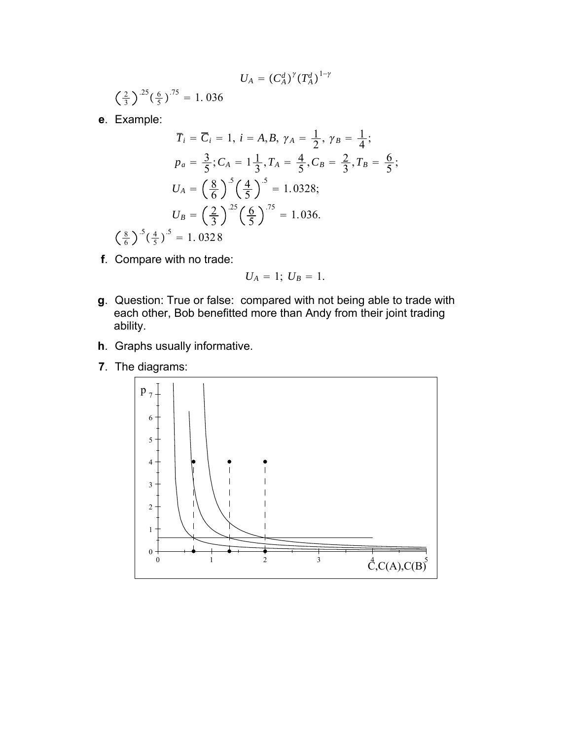$$
U_A = (C_A^d)^\gamma (T_A^d)^{1-\gamma}
$$

2  $\frac{2}{3}$ )<sup>-25</sup>( $\frac{6}{5}$ )<sup>-75</sup> = 1. 036

**e**. Example:

8

$$
\overline{T}_i = \overline{C}_i = 1, \ i = A, B, \ \gamma_A = \frac{1}{2}, \ \gamma_B = \frac{1}{4};
$$
\n
$$
p_a = \frac{3}{5}; C_A = 1\frac{1}{3}, T_A = \frac{4}{5}, C_B = \frac{2}{3}, T_B = \frac{6}{5};
$$
\n
$$
U_A = \left(\frac{8}{6}\right)^5 \left(\frac{4}{5}\right)^5 = 1.0328;
$$
\n
$$
U_B = \left(\frac{2}{3}\right)^{25} \left(\frac{6}{5}\right)^{75} = 1.036.
$$
\n
$$
\frac{8}{6} \int^5 \left(\frac{4}{5}\right)^5 = 1.0328
$$

**f**. Compare with no trade:

$$
U_A = 1
$$
;  $U_B = 1$ .

- **g**. Question: True or false: compared with not being able to trade with each other, Bob benefitted more than Andy from their joint trading ability.
- **h**. Graphs usually informative.
- **7**. The diagrams: